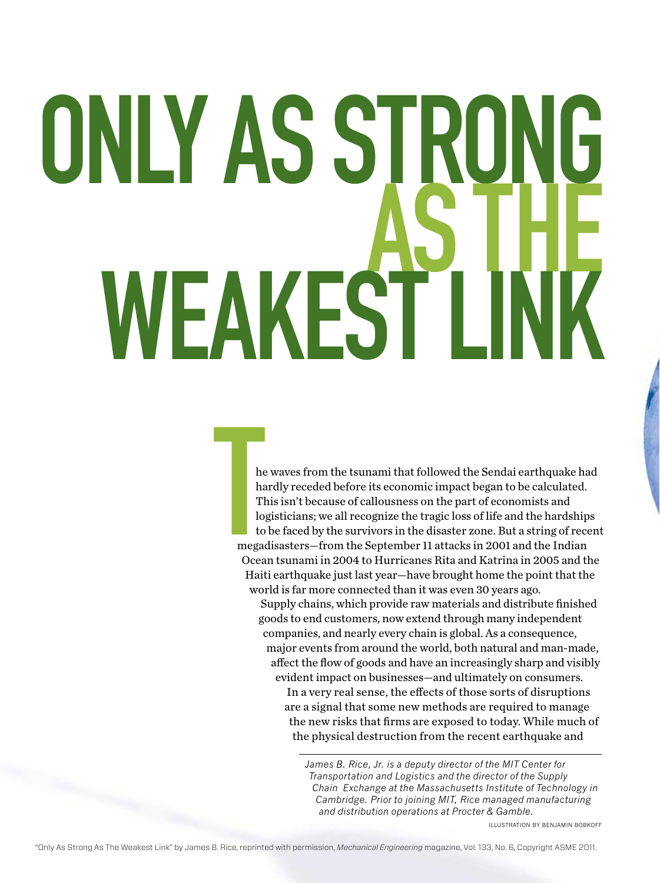# ONLY AS STRO<br>WEAKEST I

He<br>
ha<br>
ha<br>
T<br>
lo<br>
tc<br>
tc<br>
mega<br>
Ocea he waves from the tsunami that followed the Sendai earthquake had hardly receded before its economic impact began to be calculated. This isn't because of callousness on the part of economists and logisticians; we all recognize the tragic loss of life and the hardships to be faced by the survivors in the disaster zone. But a string of recent megadisasters—from the September 11 attacks in 2001 and the Indian Ocean tsunami in 2004 to Hurricanes Rita and Katrina in 2005 and the Haiti earthquake just last year—have brought home the point that the world is far more connected than it was even 30 years ago. Supply chains, which provide raw materials and distribute finished goods to end customers, now extend through many independent companies, and nearly every chain is global. As a consequence,

major events from around the world, both natural and man-made, affect the flow of goods and have an increasingly sharp and visibly evident impact on businesses—and ultimately on consumers.

In a very real sense, the effects of those sorts of disruptions are a signal that some new methods are required to manage the new risks that firms are exposed to today. While much of the physical destruction from the recent earthquake and

*James B. Rice, Jr. is a deputy director of the MIT Center for Transportation and Logistics and the director of the Supply Chain Exchange at the Massachusetts Institute of Technology in Cambridge. Prior to joining MIT, Rice managed manufacturing and distribution operations at Procter & Gamble.*

illustration by Benjamin Bobkoff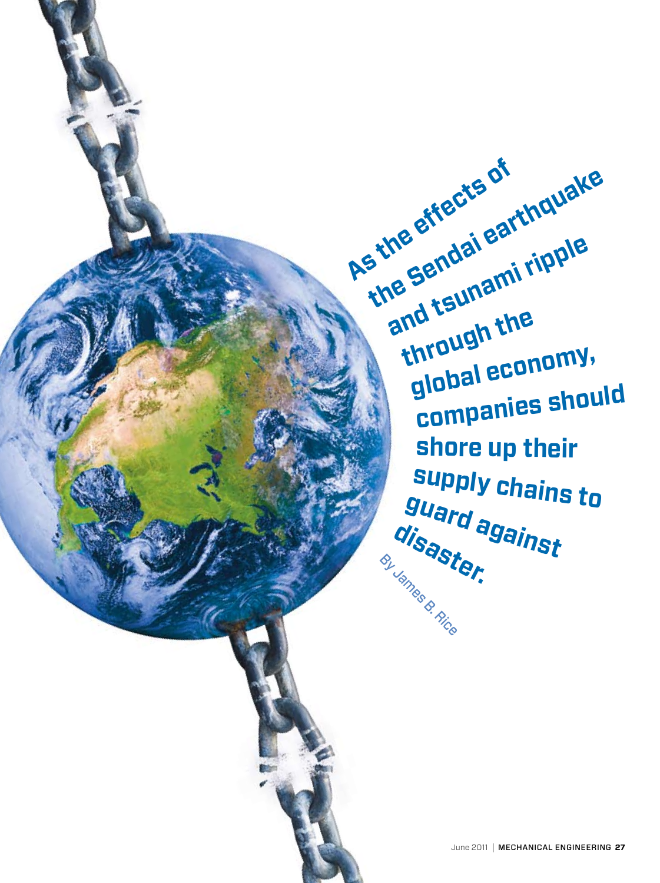**As the effects of** and tsunami ripple **the Sendai earthquake through the global economy, companies should shore up their supply chains to guard against disaster.** By James B. Rice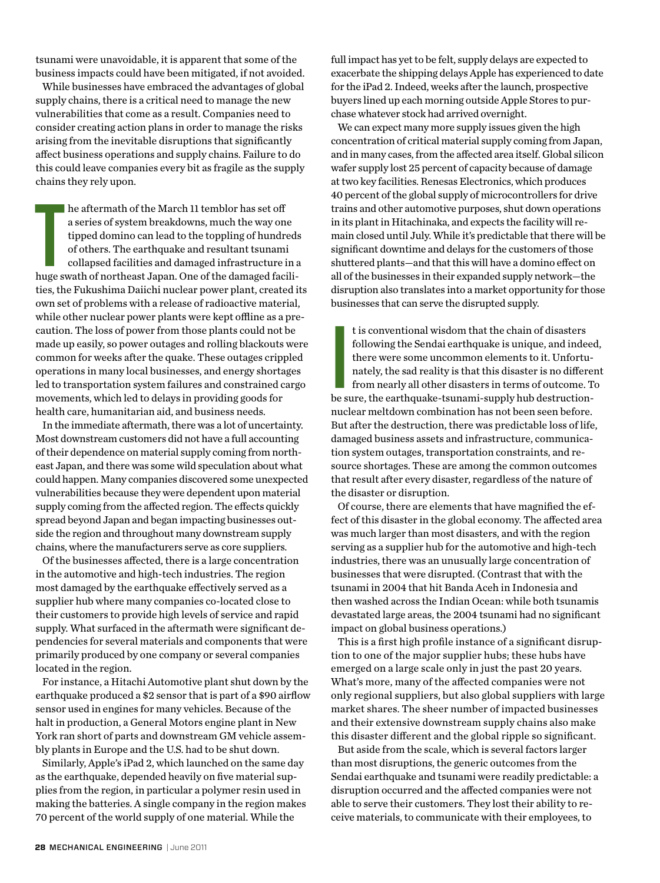tsunami were unavoidable, it is apparent that some of the business impacts could have been mitigated, if not avoided.

While businesses have embraced the advantages of global supply chains, there is a critical need to manage the new vulnerabilities that come as a result. Companies need to consider creating action plans in order to manage the risks arising from the inevitable disruptions that significantly affect business operations and supply chains. Failure to do this could leave companies every bit as fragile as the supply chains they rely upon.

he aftermath of the March 11 temblor has set off<br>a series of system breakdowns, much the way one<br>tipped domino can lead to the toppling of hundreds<br>of others. The earthquake and resultant tsunami<br>collapsed facilities and d he aftermath of the March 11 temblor has set off a series of system breakdowns, much the way one tipped domino can lead to the toppling of hundreds of others. The earthquake and resultant tsunami collapsed facilities and damaged infrastructure in a ties, the Fukushima Daiichi nuclear power plant, created its own set of problems with a release of radioactive material, while other nuclear power plants were kept offline as a precaution. The loss of power from those plants could not be made up easily, so power outages and rolling blackouts were common for weeks after the quake. These outages crippled operations in many local businesses, and energy shortages led to transportation system failures and constrained cargo movements, which led to delays in providing goods for health care, humanitarian aid, and business needs.

In the immediate aftermath, there was a lot of uncertainty. Most downstream customers did not have a full accounting of their dependence on material supply coming from northeast Japan, and there was some wild speculation about what could happen. Many companies discovered some unexpected vulnerabilities because they were dependent upon material supply coming from the affected region. The effects quickly spread beyond Japan and began impacting businesses outside the region and throughout many downstream supply chains, where the manufacturers serve as core suppliers.

Of the businesses affected, there is a large concentration in the automotive and high-tech industries. The region most damaged by the earthquake effectively served as a supplier hub where many companies co-located close to their customers to provide high levels of service and rapid supply. What surfaced in the aftermath were significant dependencies for several materials and components that were primarily produced by one company or several companies located in the region.

For instance, a Hitachi Automotive plant shut down by the earthquake produced a \$2 sensor that is part of a \$90 airflow sensor used in engines for many vehicles. Because of the halt in production, a General Motors engine plant in New York ran short of parts and downstream GM vehicle assembly plants in Europe and the U.S. had to be shut down.

Similarly, Apple's iPad 2, which launched on the same day as the earthquake, depended heavily on five material supplies from the region, in particular a polymer resin used in making the batteries. A single company in the region makes 70 percent of the world supply of one material. While the

full impact has yet to be felt, supply delays are expected to exacerbate the shipping delays Apple has experienced to date for the iPad 2. Indeed, weeks after the launch, prospective buyers lined up each morning outside Apple Stores to purchase whatever stock had arrived overnight.

We can expect many more supply issues given the high concentration of critical material supply coming from Japan, and in many cases, from the affected area itself. Global silicon wafer supply lost 25 percent of capacity because of damage at two key facilities. Renesas Electronics, which produces 40 percent of the global supply of microcontrollers for drive trains and other automotive purposes, shut down operations in its plant in Hitachinaka, and expects the facility will remain closed until July. While it's predictable that there will be significant downtime and delays for the customers of those shuttered plants—and that this will have a domino effect on all of the businesses in their expanded supply network—the disruption also translates into a market opportunity for those businesses that can serve the disrupted supply.

It is conventional wisdom that the chain of disasters<br>following the Sendai earthquake is unique, and indee<br>there were some uncommon elements to it. Unfortu-<br>nately, the sad reality is that this disaster is no differe<br>from t is conventional wisdom that the chain of disasters following the Sendai earthquake is unique, and indeed, there were some uncommon elements to it. Unfortunately, the sad reality is that this disaster is no different from nearly all other disasters in terms of outcome. To nuclear meltdown combination has not been seen before. But after the destruction, there was predictable loss of life, damaged business assets and infrastructure, communication system outages, transportation constraints, and resource shortages. These are among the common outcomes that result after every disaster, regardless of the nature of the disaster or disruption.

Of course, there are elements that have magnified the effect of this disaster in the global economy. The affected area was much larger than most disasters, and with the region serving as a supplier hub for the automotive and high-tech industries, there was an unusually large concentration of businesses that were disrupted. (Contrast that with the tsunami in 2004 that hit Banda Aceh in Indonesia and then washed across the Indian Ocean: while both tsunamis devastated large areas, the 2004 tsunami had no significant impact on global business operations.)

This is a first high profile instance of a significant disruption to one of the major supplier hubs; these hubs have emerged on a large scale only in just the past 20 years. What's more, many of the affected companies were not only regional suppliers, but also global suppliers with large market shares. The sheer number of impacted businesses and their extensive downstream supply chains also make this disaster different and the global ripple so significant.

But aside from the scale, which is several factors larger than most disruptions, the generic outcomes from the Sendai earthquake and tsunami were readily predictable: a disruption occurred and the affected companies were not able to serve their customers. They lost their ability to receive materials, to communicate with their employees, to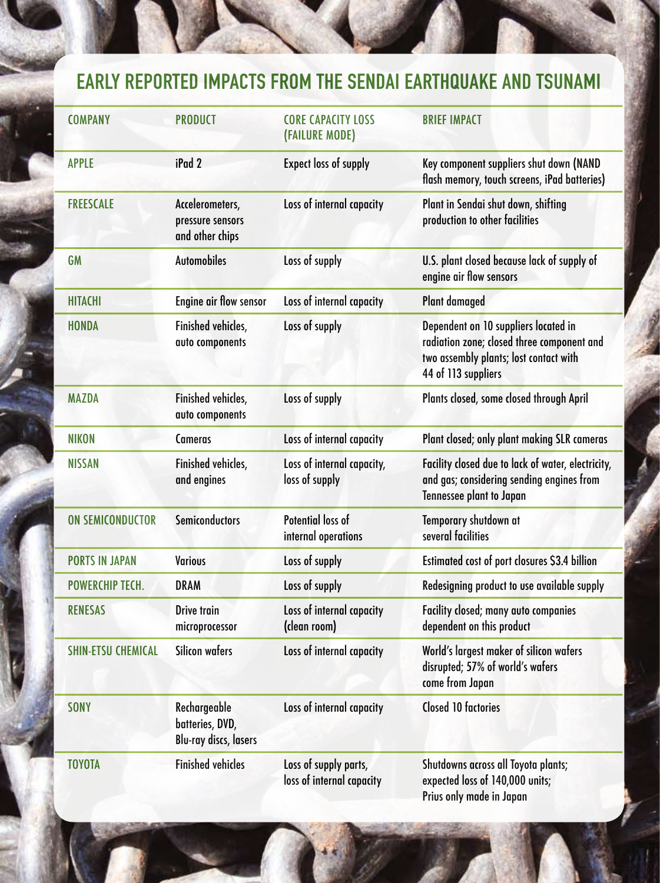## Early reported impacts from the sendai earthquake and Tsunami

| <b>COMPANY</b>            | <b>PRODUCT</b>                                           | <b>CORE CAPACITY LOSS</b><br>(FAILURE MODE)        | <b>BRIEF IMPACT</b>                                                                                                                                 |
|---------------------------|----------------------------------------------------------|----------------------------------------------------|-----------------------------------------------------------------------------------------------------------------------------------------------------|
| <b>APPLE</b>              | iPad 2                                                   | <b>Expect loss of supply</b>                       | Key component suppliers shut down (NAND<br>flash memory, touch screens, iPad batteries)                                                             |
| <b>FREESCALE</b>          | Accelerometers,<br>pressure sensors<br>and other chips   | Loss of internal capacity                          | Plant in Sendai shut down, shifting<br>production to other facilities                                                                               |
| <b>GM</b>                 | <b>Automobiles</b>                                       | Loss of supply                                     | U.S. plant closed because lack of supply of<br>engine air flow sensors                                                                              |
| <b>HITACHI</b>            | <b>Engine air flow sensor</b>                            | Loss of internal capacity                          | <b>Plant damaged</b>                                                                                                                                |
| <b>HONDA</b>              | Finished vehicles,<br>auto components                    | Loss of supply                                     | Dependent on 10 suppliers located in<br>radiation zone; closed three component and<br>two assembly plants; lost contact with<br>44 of 113 suppliers |
| <b>MAZDA</b>              | Finished vehicles,<br>auto components                    | Loss of supply                                     | Plants closed, some closed through April                                                                                                            |
| <b>NIKON</b>              | <b>Cameras</b>                                           | Loss of internal capacity                          | Plant closed; only plant making SLR cameras                                                                                                         |
| <b>NISSAN</b>             | Finished vehicles,<br>and engines                        | Loss of internal capacity,<br>loss of supply       | Facility closed due to lack of water, electricity,<br>and gas; considering sending engines from<br><b>Tennessee plant to Japan</b>                  |
| <b>ON SEMICONDUCTOR</b>   | Semiconductors                                           | Potential loss of<br>internal operations           | Temporary shutdown at<br>several facilities                                                                                                         |
| <b>PORTS IN JAPAN</b>     | <b>Various</b>                                           | Loss of supply                                     | Estimated cost of port closures \$3.4 billion                                                                                                       |
| <b>POWERCHIP TECH.</b>    | <b>DRAM</b>                                              | Loss of supply                                     | Redesigning product to use available supply                                                                                                         |
| <b>RENESAS</b>            | <b>Drive train</b><br>microprocessor                     | Loss of internal capacity<br>(clean room)          | <b>Facility closed; many auto companies</b><br>dependent on this product                                                                            |
| <b>SHIN-ETSU CHEMICAL</b> | Silicon wafers                                           | Loss of internal capacity                          | World's largest maker of silicon wafers<br>disrupted; 57% of world's wafers<br>come from Japan                                                      |
| <b>SONY</b>               | Rechargeable<br>batteries, DVD,<br>Blu-ray discs, lasers | Loss of internal capacity                          | <b>Closed 10 factories</b>                                                                                                                          |
| <b>TOYOTA</b>             | <b>Finished vehicles</b>                                 | Loss of supply parts,<br>loss of internal capacity | Shutdowns across all Toyota plants;<br>expected loss of 140,000 units;<br>Prius only made in Japan                                                  |

June 2011 | mechanical engineering **29**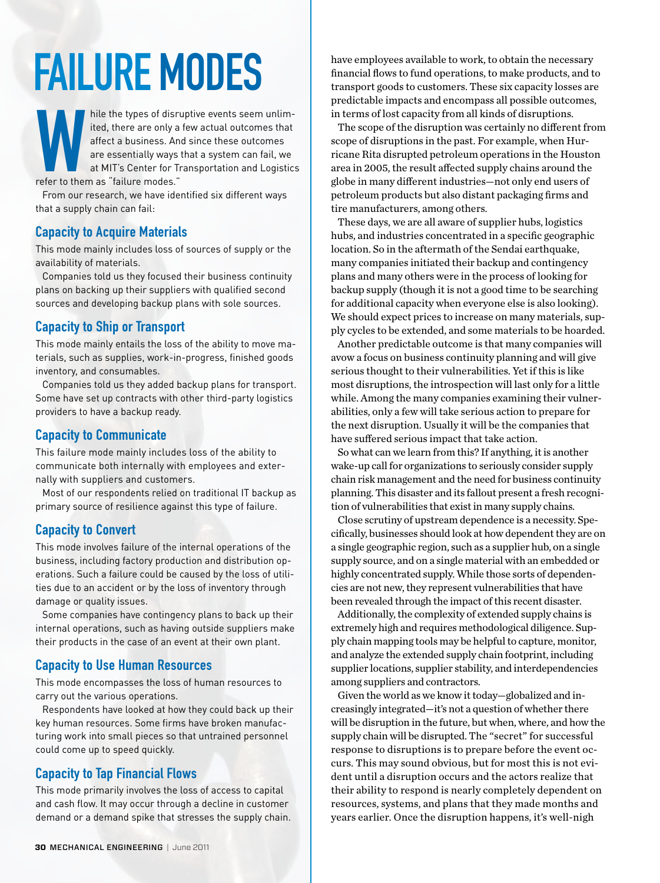# Failure Modes

hile the types of disruptive events seem unlimited, there are only a few actual outcomes that affect a business. And since these outcomes are essentially ways that a system can fail, we at MIT's Center for Transportation a ited, there are only a few actual outcomes that affect a business. And since these outcomes are essentially ways that a system can fail, we at MIT's Center for Transportation and Logistics refer to them as "failure modes."

From our research, we have identified six different ways that a supply chain can fail:

### Capacity to Acquire Materials

This mode mainly includes loss of sources of supply or the availability of materials.

Companies told us they focused their business continuity plans on backing up their suppliers with qualified second sources and developing backup plans with sole sources.

### Capacity to Ship or Transport

This mode mainly entails the loss of the ability to move materials, such as supplies, work-in-progress, finished goods inventory, and consumables.

Companies told us they added backup plans for transport. Some have set up contracts with other third-party logistics providers to have a backup ready.

### Capacity to Communicate

This failure mode mainly includes loss of the ability to communicate both internally with employees and externally with suppliers and customers.

Most of our respondents relied on traditional IT backup as primary source of resilience against this type of failure.

### Capacity to Convert

This mode involves failure of the internal operations of the business, including factory production and distribution operations. Such a failure could be caused by the loss of utilities due to an accident or by the loss of inventory through damage or quality issues.

Some companies have contingency plans to back up their internal operations, such as having outside suppliers make their products in the case of an event at their own plant.

### Capacity to Use Human Resources

This mode encompasses the loss of human resources to carry out the various operations.

Respondents have looked at how they could back up their key human resources. Some firms have broken manufacturing work into small pieces so that untrained personnel could come up to speed quickly.

### Capacity to Tap Financial Flows

This mode primarily involves the loss of access to capital and cash flow. It may occur through a decline in customer demand or a demand spike that stresses the supply chain. have employees available to work, to obtain the necessary financial flows to fund operations, to make products, and to transport goods to customers. These six capacity losses are predictable impacts and encompass all possible outcomes, in terms of lost capacity from all kinds of disruptions.

The scope of the disruption was certainly no different from scope of disruptions in the past. For example, when Hurricane Rita disrupted petroleum operations in the Houston area in 2005, the result affected supply chains around the globe in many different industries—not only end users of petroleum products but also distant packaging firms and tire manufacturers, among others.

These days, we are all aware of supplier hubs, logistics hubs, and industries concentrated in a specific geographic location. So in the aftermath of the Sendai earthquake, many companies initiated their backup and contingency plans and many others were in the process of looking for backup supply (though it is not a good time to be searching for additional capacity when everyone else is also looking). We should expect prices to increase on many materials, supply cycles to be extended, and some materials to be hoarded.

Another predictable outcome is that many companies will avow a focus on business continuity planning and will give serious thought to their vulnerabilities. Yet if this is like most disruptions, the introspection will last only for a little while. Among the many companies examining their vulnerabilities, only a few will take serious action to prepare for the next disruption. Usually it will be the companies that have suffered serious impact that take action.

So what can we learn from this? If anything, it is another wake-up call for organizations to seriously consider supply chain risk management and the need for business continuity planning. This disaster and its fallout present a fresh recognition of vulnerabilities that exist in many supply chains.

Close scrutiny of upstream dependence is a necessity. Specifically, businesses should look at how dependent they are on a single geographic region, such as a supplier hub, on a single supply source, and on a single material with an embedded or highly concentrated supply. While those sorts of dependencies are not new, they represent vulnerabilities that have been revealed through the impact of this recent disaster.

Additionally, the complexity of extended supply chains is extremely high and requires methodological diligence. Supply chain mapping tools may be helpful to capture, monitor, and analyze the extended supply chain footprint, including supplier locations, supplier stability, and interdependencies among suppliers and contractors.

Given the world as we know it today—globalized and increasingly integrated—it's not a question of whether there will be disruption in the future, but when, where, and how the supply chain will be disrupted. The "secret" for successful response to disruptions is to prepare before the event occurs. This may sound obvious, but for most this is not evident until a disruption occurs and the actors realize that their ability to respond is nearly completely dependent on resources, systems, and plans that they made months and years earlier. Once the disruption happens, it's well-nigh